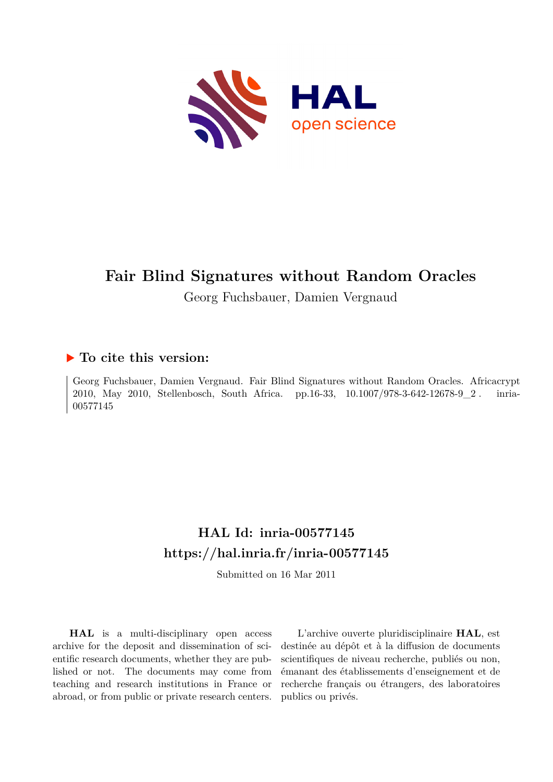

# **Fair Blind Signatures without Random Oracles**

Georg Fuchsbauer, Damien Vergnaud

## **To cite this version:**

Georg Fuchsbauer, Damien Vergnaud. Fair Blind Signatures without Random Oracles. Africacrypt 2010, May 2010, Stellenbosch, South Africa. pp.16-33, 10.1007/978-3-642-12678-9 2. inria-00577145ff

## **HAL Id: inria-00577145 <https://hal.inria.fr/inria-00577145>**

Submitted on 16 Mar 2011

**HAL** is a multi-disciplinary open access archive for the deposit and dissemination of scientific research documents, whether they are published or not. The documents may come from teaching and research institutions in France or abroad, or from public or private research centers.

L'archive ouverte pluridisciplinaire **HAL**, est destinée au dépôt et à la diffusion de documents scientifiques de niveau recherche, publiés ou non, émanant des établissements d'enseignement et de recherche français ou étrangers, des laboratoires publics ou privés.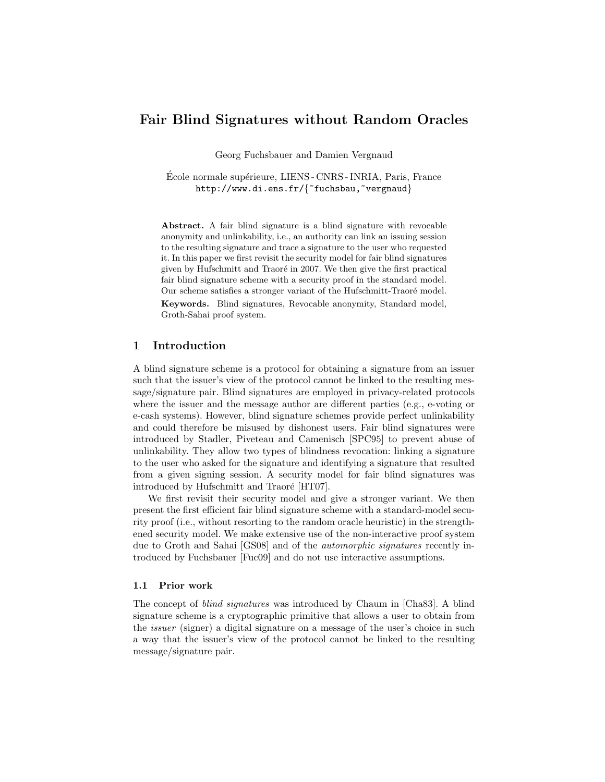## Fair Blind Signatures without Random Oracles

Georg Fuchsbauer and Damien Vergnaud

Ecole normale supérieure, LIENS - CNRS - INRIA, Paris, France http://www.di.ens.fr/{"fuchsbau,"vergnaud}

Abstract. A fair blind signature is a blind signature with revocable anonymity and unlinkability, i.e., an authority can link an issuing session to the resulting signature and trace a signature to the user who requested it. In this paper we first revisit the security model for fair blind signatures given by Hufschmitt and Traoré in 2007. We then give the first practical fair blind signature scheme with a security proof in the standard model. Our scheme satisfies a stronger variant of the Hufschmitt-Traoré model.

Keywords. Blind signatures, Revocable anonymity, Standard model, Groth-Sahai proof system.

## 1 Introduction

A blind signature scheme is a protocol for obtaining a signature from an issuer such that the issuer's view of the protocol cannot be linked to the resulting message/signature pair. Blind signatures are employed in privacy-related protocols where the issuer and the message author are different parties (e.g., e-voting or e-cash systems). However, blind signature schemes provide perfect unlinkability and could therefore be misused by dishonest users. Fair blind signatures were introduced by Stadler, Piveteau and Camenisch [SPC95] to prevent abuse of unlinkability. They allow two types of blindness revocation: linking a signature to the user who asked for the signature and identifying a signature that resulted from a given signing session. A security model for fair blind signatures was introduced by Hufschmitt and Traoré [HT07].

We first revisit their security model and give a stronger variant. We then present the first efficient fair blind signature scheme with a standard-model security proof (i.e., without resorting to the random oracle heuristic) in the strengthened security model. We make extensive use of the non-interactive proof system due to Groth and Sahai [GS08] and of the automorphic signatures recently introduced by Fuchsbauer [Fuc09] and do not use interactive assumptions.

#### 1.1 Prior work

The concept of blind signatures was introduced by Chaum in [Cha83]. A blind signature scheme is a cryptographic primitive that allows a user to obtain from the issuer (signer) a digital signature on a message of the user's choice in such a way that the issuer's view of the protocol cannot be linked to the resulting message/signature pair.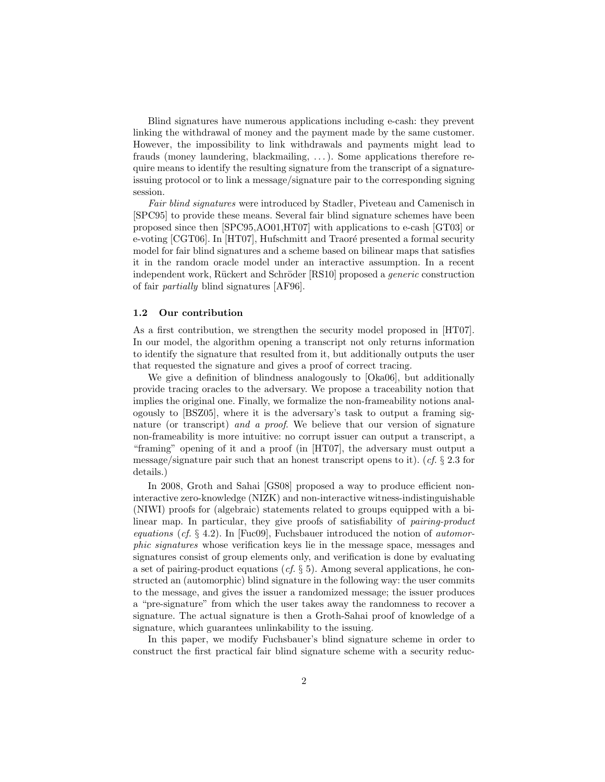Blind signatures have numerous applications including e-cash: they prevent linking the withdrawal of money and the payment made by the same customer. However, the impossibility to link withdrawals and payments might lead to frauds (money laundering, blackmailing, . . . ). Some applications therefore require means to identify the resulting signature from the transcript of a signatureissuing protocol or to link a message/signature pair to the corresponding signing session.

Fair blind signatures were introduced by Stadler, Piveteau and Camenisch in [SPC95] to provide these means. Several fair blind signature schemes have been proposed since then [SPC95,AO01,HT07] with applications to e-cash [GT03] or e-voting  $\left[ \text{CGT06} \right]$ . In  $\left[ \text{HT07} \right]$ , Hufschmitt and Traoré presented a formal security model for fair blind signatures and a scheme based on bilinear maps that satisfies it in the random oracle model under an interactive assumption. In a recent independent work, Rückert and Schröder [RS10] proposed a *generic* construction of fair partially blind signatures [AF96].

#### 1.2 Our contribution

As a first contribution, we strengthen the security model proposed in [HT07]. In our model, the algorithm opening a transcript not only returns information to identify the signature that resulted from it, but additionally outputs the user that requested the signature and gives a proof of correct tracing.

We give a definition of blindness analogously to [Oka06], but additionally provide tracing oracles to the adversary. We propose a traceability notion that implies the original one. Finally, we formalize the non-frameability notions analogously to [BSZ05], where it is the adversary's task to output a framing signature (or transcript) and a proof. We believe that our version of signature non-frameability is more intuitive: no corrupt issuer can output a transcript, a "framing" opening of it and a proof (in [HT07], the adversary must output a message/signature pair such that an honest transcript opens to it).  $(cf. \S 2.3$  for details.)

In 2008, Groth and Sahai [GS08] proposed a way to produce efficient noninteractive zero-knowledge (NIZK) and non-interactive witness-indistinguishable (NIWI) proofs for (algebraic) statements related to groups equipped with a bilinear map. In particular, they give proofs of satisfiability of pairing-product equations (cf.  $\S$  4.2). In [Fuc09], Fuchsbauer introduced the notion of *automor*phic signatures whose verification keys lie in the message space, messages and signatures consist of group elements only, and verification is done by evaluating a set of pairing-product equations (cf.  $\S 5$ ). Among several applications, he constructed an (automorphic) blind signature in the following way: the user commits to the message, and gives the issuer a randomized message; the issuer produces a "pre-signature" from which the user takes away the randomness to recover a signature. The actual signature is then a Groth-Sahai proof of knowledge of a signature, which guarantees unlinkability to the issuing.

In this paper, we modify Fuchsbauer's blind signature scheme in order to construct the first practical fair blind signature scheme with a security reduc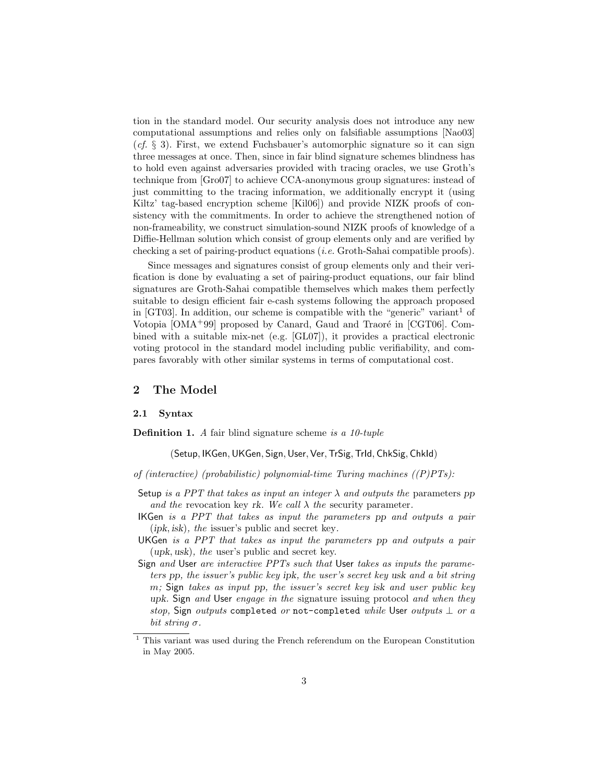tion in the standard model. Our security analysis does not introduce any new computational assumptions and relies only on falsifiable assumptions [Nao03]  $(cf. \S$  3). First, we extend Fuchsbauer's automorphic signature so it can sign three messages at once. Then, since in fair blind signature schemes blindness has to hold even against adversaries provided with tracing oracles, we use Groth's technique from [Gro07] to achieve CCA-anonymous group signatures: instead of just committing to the tracing information, we additionally encrypt it (using Kiltz' tag-based encryption scheme [Kil06]) and provide NIZK proofs of consistency with the commitments. In order to achieve the strengthened notion of non-frameability, we construct simulation-sound NIZK proofs of knowledge of a Diffie-Hellman solution which consist of group elements only and are verified by checking a set of pairing-product equations (*i.e.* Groth-Sahai compatible proofs).

Since messages and signatures consist of group elements only and their verification is done by evaluating a set of pairing-product equations, our fair blind signatures are Groth-Sahai compatible themselves which makes them perfectly suitable to design efficient fair e-cash systems following the approach proposed in [GT03]. In addition, our scheme is compatible with the "generic" variant<sup>1</sup> of Votopia  $[OMA+99]$  proposed by Canard, Gaud and Traoré in  $[CGT06]$ . Combined with a suitable mix-net (e.g. [GL07]), it provides a practical electronic voting protocol in the standard model including public verifiability, and compares favorably with other similar systems in terms of computational cost.

## 2 The Model

#### 2.1 Syntax

**Definition 1.** A fair blind signature scheme is a  $10$ -tuple

(Setup, IKGen,UKGen, Sign,User, Ver,TrSig,TrId, ChkSig, ChkId)

- of (interactive) (probabilistic) polynomial-time Turing machines  $((P)PTs)$ :
- Setup is a PPT that takes as input an integer  $\lambda$  and outputs the parameters pp and the revocation key rk. We call  $\lambda$  the security parameter.
- IKGen is a PPT that takes as input the parameters pp and outputs a pair (ipk, isk), the issuer's public and secret key.
- UKGen is a PPT that takes as input the parameters pp and outputs a pair (upk, usk), the user's public and secret key.
- Sign and User are interactive PPTs such that User takes as inputs the parameters pp, the issuer's public key ipk, the user's secret key usk and a bit string m; Sign takes as input pp, the issuer's secret key isk and user public key upk. Sign and User engage in the signature issuing protocol and when they stop, Sign outputs completed or not-completed while User outputs  $\perp$  or a bit string  $\sigma$ .

 $^{\rm 1}$  This variant was used during the French referendum on the European Constitution in May 2005.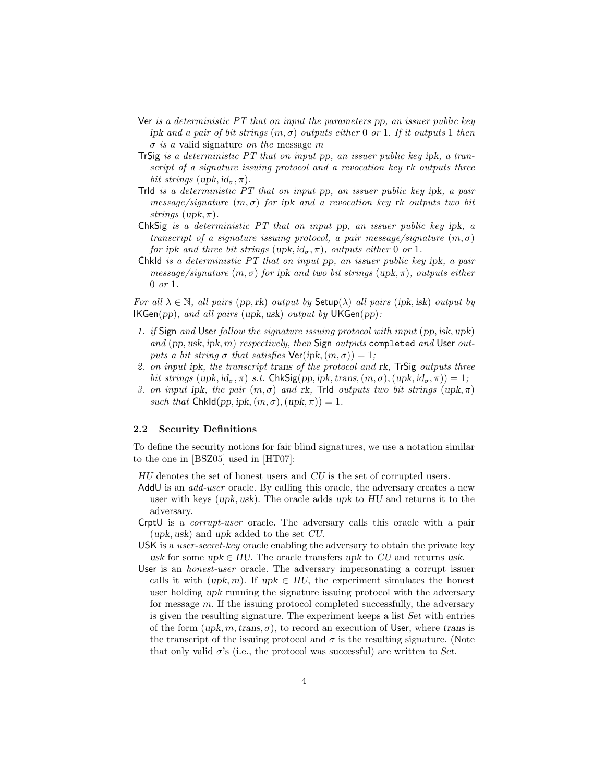- Ver is a deterministic PT that on input the parameters pp, an issuer public key ipk and a pair of bit strings  $(m, \sigma)$  outputs either 0 or 1. If it outputs 1 then  $\sigma$  is a valid signature on the message m
- TrSig is a deterministic PT that on input pp, an issuer public key ipk, a transcript of a signature issuing protocol and a revocation key rk outputs three bit strings (upk,  $id_{\sigma}$ ,  $\pi$ ).
- TrId is a deterministic PT that on input pp, an issuer public key ipk, a pair message/signature  $(m, \sigma)$  for ipk and a revocation key rk outputs two bit strings  $(\text{upk}, \pi)$ .
- ChkSig is a deterministic PT that on input pp, an issuer public key ipk, a transcript of a signature issuing protocol, a pair message/signature  $(m, \sigma)$ for ipk and three bit strings (upk,  $id_{\sigma}$ ,  $\pi$ ), outputs either 0 or 1.
- ChkId is a deterministic PT that on input pp, an issuer public key ipk, a pair message/signature  $(m, \sigma)$  for ipk and two bit strings (upk,  $\pi$ ), outputs either 0 or 1.

For all  $\lambda \in \mathbb{N}$ , all pairs (pp, rk) output by Setup( $\lambda$ ) all pairs (ipk, isk) output by  $IKGen(pp)$ , and all pairs (upk, usk) output by  $UKGen(pp)$ :

- 1. if Sign and User follow the signature issuing protocol with input (pp, isk, upk) and (pp, usk, ipk, m) respectively, then Sign outputs completed and User outputs a bit string  $\sigma$  that satisfies  $\text{Ver}(ipk,(m,\sigma)) = 1$ ;
- 2. on input ipk, the transcript trans of the protocol and rk, TrSig outputs three bit strings  $(\text{upk}, \text{id}_{\sigma}, \pi)$  s.t. ChkSig(pp, ipk, trans,  $(m, \sigma)$ ,  $(\text{upk}, \text{id}_{\sigma}, \pi)$ ) = 1;
- 3. on input ipk, the pair  $(m, \sigma)$  and rk, Trid outputs two bit strings  $(\text{upk}, \pi)$ such that ChkId(pp, ipk,  $(m, \sigma)$ ,  $(\text{upk}, \pi)$ ) = 1.

#### 2.2 Security Definitions

To define the security notions for fair blind signatures, we use a notation similar to the one in [BSZ05] used in [HT07]:

HU denotes the set of honest users and CU is the set of corrupted users.

- AddU is an *add-user* oracle. By calling this oracle, the adversary creates a new user with keys (upk, usk). The oracle adds upk to HU and returns it to the adversary.
- CrptU is a corrupt-user oracle. The adversary calls this oracle with a pair (upk, usk) and upk added to the set CU.
- USK is a user-secret-key oracle enabling the adversary to obtain the private key usk for some upk  $\in HU$ . The oracle transfers upk to CU and returns usk.
- User is an honest-user oracle. The adversary impersonating a corrupt issuer calls it with  $(upk, m)$ . If  $upk \in HU$ , the experiment simulates the honest user holding upk running the signature issuing protocol with the adversary for message m. If the issuing protocol completed successfully, the adversary is given the resulting signature. The experiment keeps a list Set with entries of the form  $(upk, m, trans, \sigma)$ , to record an execution of User, where trans is the transcript of the issuing protocol and  $\sigma$  is the resulting signature. (Note that only valid  $\sigma$ 's (i.e., the protocol was successful) are written to Set.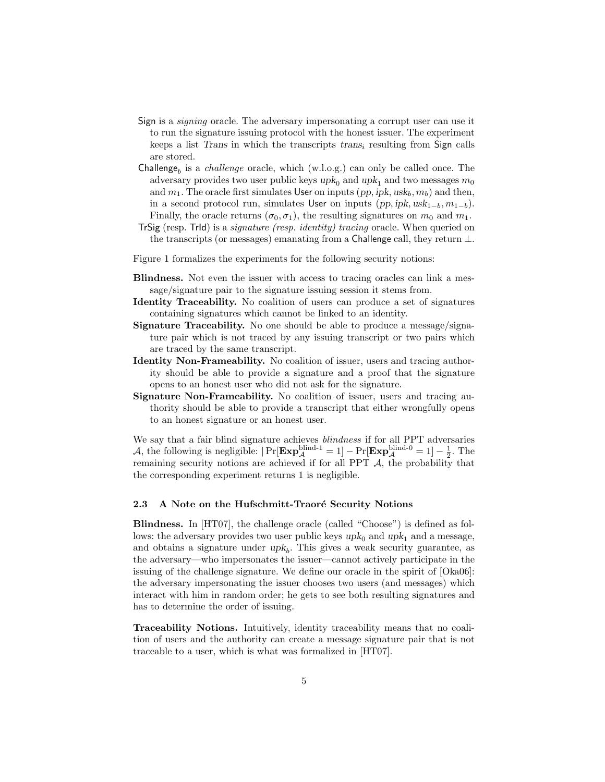- Sign is a signing oracle. The adversary impersonating a corrupt user can use it to run the signature issuing protocol with the honest issuer. The experiment keeps a list Trans in which the transcripts  $trans<sub>i</sub>$  resulting from Sign calls are stored.
- $Challenge<sub>b</sub>$  is a *challenge* oracle, which (w.l.o.g.) can only be called once. The adversary provides two user public keys  $upk_0$  and  $upk_1$  and two messages  $m_0$ and  $m_1$ . The oracle first simulates User on inputs (pp, ipk, usk<sub>b</sub>,  $m_b$ ) and then, in a second protocol run, simulates User on inputs  $(pp, ipk, usk_{1-b}, m_{1-b})$ . Finally, the oracle returns  $(\sigma_0, \sigma_1)$ , the resulting signatures on  $m_0$  and  $m_1$ .
- TrSig (resp. TrId) is a signature (resp. identity) tracing oracle. When queried on the transcripts (or messages) emanating from a Challenge call, they return  $\perp$ .
- Figure 1 formalizes the experiments for the following security notions:
- Blindness. Not even the issuer with access to tracing oracles can link a message/signature pair to the signature issuing session it stems from.
- Identity Traceability. No coalition of users can produce a set of signatures containing signatures which cannot be linked to an identity.
- Signature Traceability. No one should be able to produce a message/signature pair which is not traced by any issuing transcript or two pairs which are traced by the same transcript.
- Identity Non-Frameability. No coalition of issuer, users and tracing authority should be able to provide a signature and a proof that the signature opens to an honest user who did not ask for the signature.
- Signature Non-Frameability. No coalition of issuer, users and tracing authority should be able to provide a transcript that either wrongfully opens to an honest signature or an honest user.

We say that a fair blind signature achieves blindness if for all PPT adversaries A, the following is negligible:  $|\Pr[\mathbf{Exp}_{\mathcal{A}}^{\text{blind-1}}=1]-\Pr[\mathbf{Exp}_{\mathcal{A}}^{\text{blind-0}}=1]-\frac{1}{2}$ . The remaining security notions are achieved if for all PPT  $A$ , the probability that the corresponding experiment returns 1 is negligible.

#### 2.3 A Note on the Hufschmitt-Traoré Security Notions

Blindness. In [HT07], the challenge oracle (called "Choose") is defined as follows: the adversary provides two user public keys  $upk_0$  and  $upk_1$  and a message, and obtains a signature under  $upk_b$ . This gives a weak security guarantee, as the adversary—who impersonates the issuer—cannot actively participate in the issuing of the challenge signature. We define our oracle in the spirit of [Oka06]: the adversary impersonating the issuer chooses two users (and messages) which interact with him in random order; he gets to see both resulting signatures and has to determine the order of issuing.

Traceability Notions. Intuitively, identity traceability means that no coalition of users and the authority can create a message signature pair that is not traceable to a user, which is what was formalized in [HT07].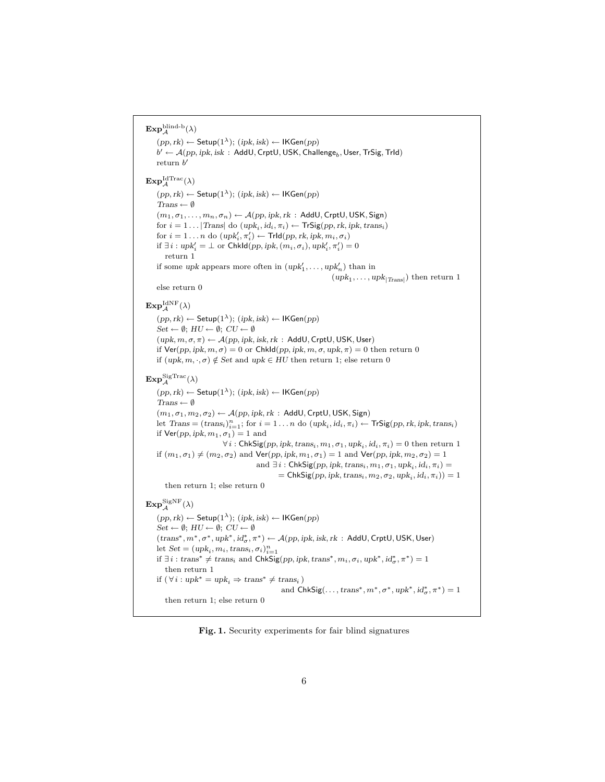$\mathrm{Exp}^{\mathrm{blind\text{-}b}}_\mathcal{A}(\lambda)$  $(pp, rk)$  ← Setup $(1<sup>\lambda</sup>)$ ;  $(ipk, isk)$  ← IKGen $(pp)$  $b' \leftarrow \mathcal{A}(pp, ipk, isk \,:\, \mathsf{AddU}, \mathsf{CrptU}, \mathsf{USK}, \mathsf{Challenge}_b, \mathsf{User}, \mathsf{TrSig}, \mathsf{Trld})$ return  $b'$  $\mathrm{Exp}^{\mathrm{Id}\mathrm{Trace}}_\mathcal{A}(\lambda)$  $(pp, rk) \leftarrow$  Setup(1<sup> $λ$ </sup>); (ipk, isk)  $\leftarrow$  IKGen(pp)  $Trans \leftarrow \emptyset$  $(m_1, \sigma_1, \ldots, m_n, \sigma_n) \leftarrow \mathcal{A}(pp, \text{ipk}, \text{rk} \, : \, \mathsf{AddU}, \mathsf{CrptU}, \mathsf{USK}, \mathsf{Sign})$ for  $i = 1 \dots |{\text{Trans}}|$  do  $(\text{upk}_i, \text{id}_i, \pi_i) \leftarrow {\text{Tr}}{\text{Sig}}(pp, \text{rk}, \text{ipk}, \text{trans}_i)$ for  $i = 1 \dots n$  do  $(\text{upk}'_i, \pi'_i) \leftarrow \text{Trld}(pp, rk, ipk, m_i, \sigma_i)$ if  $\exists i : \text{upk}'_i = \bot \text{ or Chkld}(pp, ipk, (m_i, \sigma_i), \text{upk}'_i, \pi'_i) = 0$ return 1 if some upk appears more often in  $(\mu p k'_1, \ldots, \mu p k'_n)$  than in  $(upk_1, \ldots, upk_{\vert Trans\vert})$  then return 1 else return 0  $\mathbf{Exp}^{\mathrm{IdNF}}_{\mathcal{A}}(\lambda)$  $(pp, rk) \leftarrow$  Setup(1<sup> $λ$ </sup>); (ipk, isk)  $\leftarrow$  IKGen(pp)  $Set \leftarrow \emptyset$ ;  $HU \leftarrow \emptyset$ ;  $CU \leftarrow \emptyset$  $(upk, m, \sigma, \pi) \leftarrow \mathcal{A}(pp, ipk, isk, rk : AddU, CrptU, USK, User)$ if  $Ver(pp, ipk, m, \sigma) = 0$  or ChkId(pp, ipk,  $m, \sigma, upk, \pi$ ) = 0 then return 0 if  $(upk, m, \cdot, \sigma) \notin Set$  and  $upk \in HU$  then return 1; else return 0  $\mathbf{Exp}_{\mathcal{A}}^{\mathrm{SigTrace}}(\lambda)$  $(pp, rk) \leftarrow$  Setup $(1^{\lambda})$ ;  $(ipk, isk) \leftarrow$  IKGen $(pp)$  $Trans \leftarrow \emptyset$  $(m_1, \sigma_1, m_2, \sigma_2) \leftarrow \mathcal{A}(pp, ipk, rk : \mathsf{AddU}, \mathsf{CrptU}, \mathsf{USK}, \mathsf{Sign})$ let  $Trans = (trans_i)_{i=1}^n$ ; for  $i = 1...n$  do  $(upk_i, id_i, \pi_i) \leftarrow TrSig(pp, rk, ipk, trans_i)$ if  $\mathsf{Ver}(pp, ipk, m_1, \sigma_1) = 1$  and  $\forall i:$  ChkSig $(pp, ipk, trans_i, m_1, \sigma_1, upk_i, id_i, \pi_i) = 0$  then return 1 if  $(m_1, \sigma_1) \neq (m_2, \sigma_2)$  and  $\mathsf{Ver}(pp, ipk, m_1, \sigma_1) = 1$  and  $\mathsf{Ver}(pp, ipk, m_2, \sigma_2) = 1$ and  $\exists i$ : ChkSig $(pp, ipk, trans_i, m_1, \sigma_1, upk_i, id_i, \pi_i)$  =  $=$  ChkSig(pp, ipk, trans<sub>i</sub>,  $m_2$ ,  $\sigma_2$ , upk<sub>i</sub>, id<sub>i</sub>,  $\pi_i$ )) = 1 then return 1; else return 0  $\mathbf{Exp}_{\mathcal{A}}^{\mathrm{SigNF}}(\lambda)$  $(pp, rk)$  ← Setup(1<sup> $\lambda$ </sup>); (ipk, isk) ← IKGen(pp)  $Set \leftarrow \emptyset$ ;  $HU \leftarrow \emptyset$ ;  $CU \leftarrow \emptyset$  $(\text{trans}^*, m^*, \sigma^*, \text{upk}^*, \text{id}_\sigma^*, \pi^*) \leftarrow \mathcal{A}(pp, \text{ipk}, \text{isk}, \text{rk} : \text{AddU}, \text{CrptU}, \text{USK}, \text{User})$ let  $Set = (upk_i, m_i, trans_i, \sigma_i)_{i=1}^n$ if  $\exists i : trans^* \neq trans_i$  and  $ChkSig(pp, ipk, trans^*, m_i, \sigma_i, upk^*, id^*_{\sigma}, \pi^*) = 1$ then return 1 if  $(\forall i : upk^* = upk_i \Rightarrow trans^* \neq trans_i)$ and  $\mathsf{ChkSig}(\ldots, \mathsf{trans}^*, m^*, \sigma^*, \mathsf{upk}^*, \mathsf{id}_{\sigma}^*, \pi^*) = 1$ then return 1; else return 0

Fig. 1. Security experiments for fair blind signatures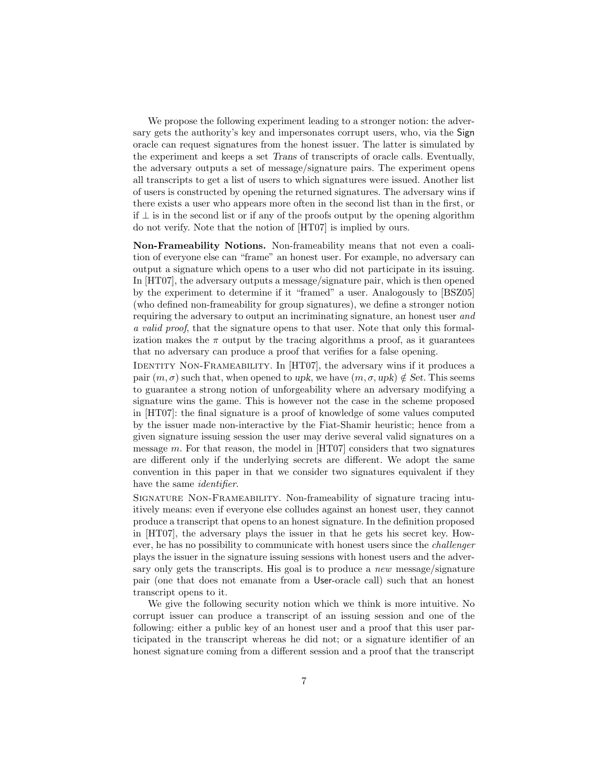We propose the following experiment leading to a stronger notion: the adversary gets the authority's key and impersonates corrupt users, who, via the Sign oracle can request signatures from the honest issuer. The latter is simulated by the experiment and keeps a set Trans of transcripts of oracle calls. Eventually, the adversary outputs a set of message/signature pairs. The experiment opens all transcripts to get a list of users to which signatures were issued. Another list of users is constructed by opening the returned signatures. The adversary wins if there exists a user who appears more often in the second list than in the first, or if ⊥ is in the second list or if any of the proofs output by the opening algorithm do not verify. Note that the notion of [HT07] is implied by ours.

Non-Frameability Notions. Non-frameability means that not even a coalition of everyone else can "frame" an honest user. For example, no adversary can output a signature which opens to a user who did not participate in its issuing. In [HT07], the adversary outputs a message/signature pair, which is then opened by the experiment to determine if it "framed" a user. Analogously to [BSZ05] (who defined non-frameability for group signatures), we define a stronger notion requiring the adversary to output an incriminating signature, an honest user and a valid proof, that the signature opens to that user. Note that only this formalization makes the  $\pi$  output by the tracing algorithms a proof, as it guarantees that no adversary can produce a proof that verifies for a false opening.

IDENTITY NON-FRAMEABILITY. In [HT07], the adversary wins if it produces a pair  $(m, \sigma)$  such that, when opened to upk, we have  $(m, \sigma, \psi) \notin Set$ . This seems to guarantee a strong notion of unforgeability where an adversary modifying a signature wins the game. This is however not the case in the scheme proposed in [HT07]: the final signature is a proof of knowledge of some values computed by the issuer made non-interactive by the Fiat-Shamir heuristic; hence from a given signature issuing session the user may derive several valid signatures on a message  $m$ . For that reason, the model in [HT07] considers that two signatures are different only if the underlying secrets are different. We adopt the same convention in this paper in that we consider two signatures equivalent if they have the same *identifier*.

Signature Non-Frameability. Non-frameability of signature tracing intuitively means: even if everyone else colludes against an honest user, they cannot produce a transcript that opens to an honest signature. In the definition proposed in [HT07], the adversary plays the issuer in that he gets his secret key. However, he has no possibility to communicate with honest users since the challenger plays the issuer in the signature issuing sessions with honest users and the adversary only gets the transcripts. His goal is to produce a *new* message/signature pair (one that does not emanate from a User-oracle call) such that an honest transcript opens to it.

We give the following security notion which we think is more intuitive. No corrupt issuer can produce a transcript of an issuing session and one of the following: either a public key of an honest user and a proof that this user participated in the transcript whereas he did not; or a signature identifier of an honest signature coming from a different session and a proof that the transcript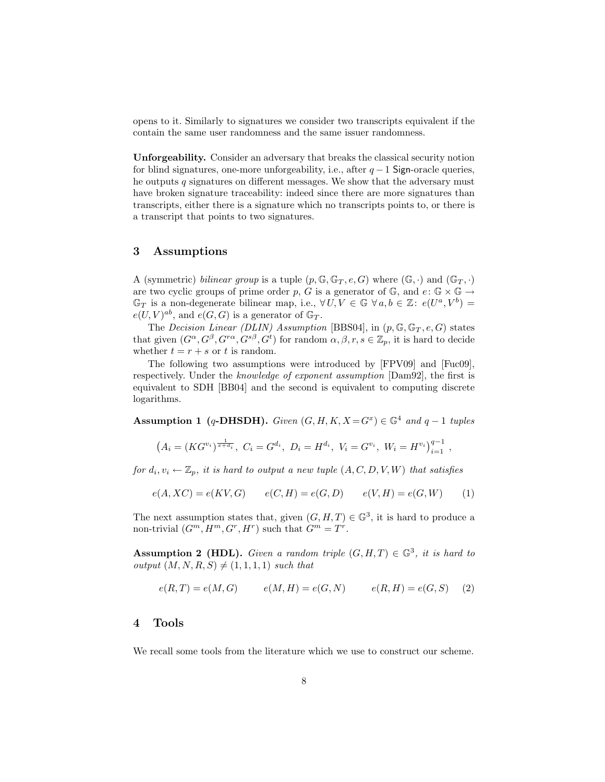opens to it. Similarly to signatures we consider two transcripts equivalent if the contain the same user randomness and the same issuer randomness.

Unforgeability. Consider an adversary that breaks the classical security notion for blind signatures, one-more unforgeability, i.e., after  $q-1$  Sign-oracle queries, he outputs q signatures on different messages. We show that the adversary must have broken signature traceability: indeed since there are more signatures than transcripts, either there is a signature which no transcripts points to, or there is a transcript that points to two signatures.

## 3 Assumptions

A (symmetric) bilinear group is a tuple  $(p, \mathbb{G}, \mathbb{G}_T, e, G)$  where  $(\mathbb{G}, \cdot)$  and  $(\mathbb{G}_T, \cdot)$ are two cyclic groups of prime order p, G is a generator of  $\mathbb{G}$ , and  $e: \mathbb{G} \times \mathbb{G} \to$  $\mathbb{G}_T$  is a non-degenerate bilinear map, i.e.,  $\forall U, V \in \mathbb{G} \ \forall a, b \in \mathbb{Z} : e(U^a, V^b) =$  $e(U, V)^{ab}$ , and  $e(G, G)$  is a generator of  $\mathbb{G}_T$ .

The Decision Linear (DLIN) Assumption [BBS04], in  $(p, \mathbb{G}, \mathbb{G}_T, e, G)$  states that given  $(G^{\alpha}, G^{\beta}, G^{r\alpha}, G^{s\beta}, G^t)$  for random  $\alpha, \beta, r, s \in \mathbb{Z}_p$ , it is hard to decide whether  $t = r + s$  or t is random.

The following two assumptions were introduced by [FPV09] and [Fuc09], respectively. Under the knowledge of exponent assumption [Dam92], the first is equivalent to SDH [BB04] and the second is equivalent to computing discrete logarithms.

Assumption 1 (q-DHSDH). Given  $(G, H, K, X = G^x) \in \mathbb{G}^4$  and  $q - 1$  tuples

$$
(A_i = (KG^{v_i})^{\frac{1}{x+d_i}}, C_i = G^{d_i}, D_i = H^{d_i}, V_i = G^{v_i}, W_i = H^{v_i})_{i=1}^{q-1},
$$

for  $d_i, v_i \leftarrow \mathbb{Z}_p$ , it is hard to output a new tuple  $(A, C, D, V, W)$  that satisfies

$$
e(A, XC) = e(KV, G) \qquad e(C, H) = e(G, D) \qquad e(V, H) = e(G, W) \tag{1}
$$

The next assumption states that, given  $(G, H, T) \in \mathbb{G}^3$ , it is hard to produce a non-trivial  $(G^m, H^m, G^r, H^r)$  such that  $G^m = T^r$ .

**Assumption 2 (HDL).** Given a random triple  $(G, H, T) \in \mathbb{G}^3$ , it is hard to output  $(M, N, R, S) \neq (1, 1, 1, 1)$  such that

$$
e(R,T) = e(M,G) \qquad e(M,H) = e(G,N) \qquad e(R,H) = e(G,S) \quad (2)
$$

#### 4 Tools

We recall some tools from the literature which we use to construct our scheme.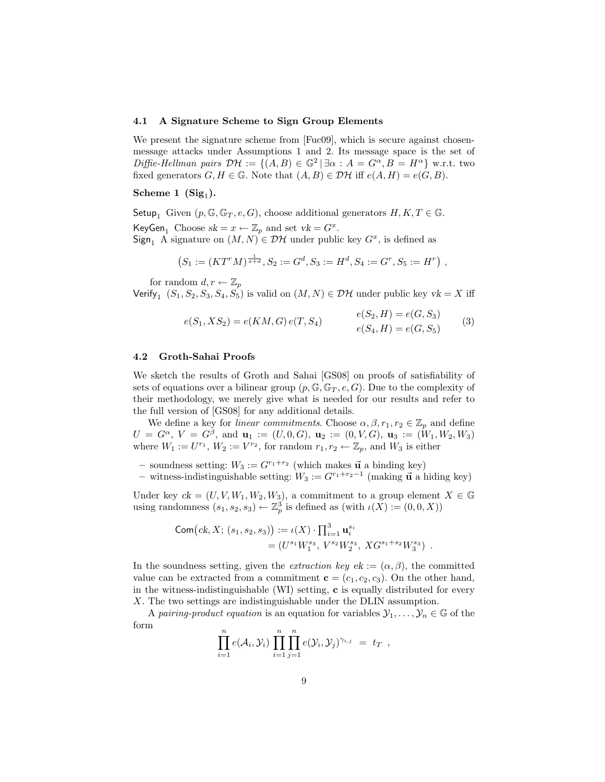#### 4.1 A Signature Scheme to Sign Group Elements

We present the signature scheme from [Fuc09], which is secure against chosenmessage attacks under Assumptions 1 and 2. Its message space is the set of Diffie-Hellman pairs  $\mathcal{DH} := \{ (A, B) \in \mathbb{G}^2 \mid \exists \alpha : A = G^{\alpha}, B = H^{\alpha} \}$  w.r.t. two fixed generators  $G, H \in \mathbb{G}$ . Note that  $(A, B) \in \mathcal{DH}$  iff  $e(A, H) = e(G, B)$ .

## $\rm{Scheme\ 1\ \ (Sig_{1}).}$

Setup<sub>1</sub> Given  $(p, \mathbb{G}, \mathbb{G}_T, e, G)$ , choose additional generators  $H, K, T \in \mathbb{G}$ .

KeyGen<sub>1</sub> Choose  $sk = x \leftarrow \mathbb{Z}_p$  and set  $vk = G^x$ .

 $Sign_1$  A signature on  $(M, N) \in \mathcal{DH}$  under public key  $G^x$ , is defined as

$$
(S_1 := (KT^rM)^{\frac{1}{a+d}}, S_2 := G^d, S_3 := H^d, S_4 := G^r, S_5 := H^r)
$$

for random  $d, r \leftarrow \mathbb{Z}_p$ 

Verify<sub>1</sub>  $(S_1, S_2, S_3, S_4, S_5)$  is valid on  $(M, N) \in \mathcal{DH}$  under public key  $vk = X$  iff

$$
e(S_1, XS_2) = e(KM, G) e(T, S_4)
$$
  
\n
$$
e(S_2, H) = e(G, S_3)
$$
  
\n
$$
e(S_4, H) = e(G, S_5)
$$
\n(3)

#### 4.2 Groth-Sahai Proofs

We sketch the results of Groth and Sahai [GS08] on proofs of satisfiability of sets of equations over a bilinear group  $(p, \mathbb{G}, \mathbb{G}_T, e, G)$ . Due to the complexity of their methodology, we merely give what is needed for our results and refer to the full version of [GS08] for any additional details.

We define a key for *linear commitments*. Choose  $\alpha, \beta, r_1, r_2 \in \mathbb{Z}_p$  and define  $U = G^{\alpha}, V = G^{\beta}, \text{ and } \mathbf{u}_1 := (U, 0, G), \mathbf{u}_2 := (0, V, G), \mathbf{u}_3 := (W_1, W_2, W_3)$ where  $W_1 := U^{r_1}, W_2 := V^{r_2}$ , for random  $r_1, r_2 \leftarrow \mathbb{Z}_p$ , and  $W_3$  is either

– soundness setting:  $W_3 := G^{r_1+r_2}$  (which makes  $\vec{u}$  a binding key)

– witness-indistinguishable setting:  $W_3 := G^{r_1+r_2-1}$  (making  $\vec{u}$  a hiding key)

Under key  $ck = (U, V, W_1, W_2, W_3)$ , a commitment to a group element  $X \in \mathbb{G}$ using randomness  $(s_1, s_2, s_3) \leftarrow \mathbb{Z}_p^3$  is defined as  $(\text{with } \iota(X) := (0, 0, X))$ 

Com
$$
(ck, X; (s_1, s_2, s_3)) := \iota(X) \cdot \prod_{i=1}^3 \mathbf{u}_i^{s_i}
$$
  
=  $(U^{s_1} W_1^{s_3}, V^{s_2} W_2^{s_3}, XG^{s_1+s_2} W_3^{s_3})$ .

In the soundness setting, given the *extraction key*  $ek := (\alpha, \beta)$ , the committed value can be extracted from a commitment  $\mathbf{c} = (c_1, c_2, c_3)$ . On the other hand, in the witness-indistinguishable (WI) setting, c is equally distributed for every X. The two settings are indistinguishable under the DLIN assumption.

A pairing-product equation is an equation for variables  $\mathcal{Y}_1, \ldots, \mathcal{Y}_n \in \mathbb{G}$  of the form

$$
\prod_{i=1}^n e(\mathcal{A}_i, \mathcal{Y}_i) \prod_{i=1}^n \prod_{j=1}^n e(\mathcal{Y}_i, \mathcal{Y}_j)^{\gamma_{i,j}} = t_T ,
$$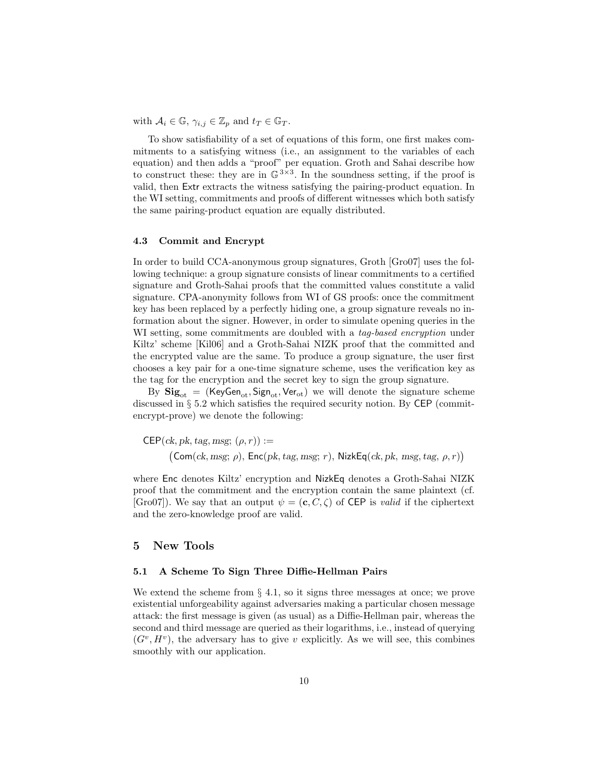with  $A_i \in \mathbb{G}$ ,  $\gamma_{i,j} \in \mathbb{Z}_p$  and  $t_T \in \mathbb{G}_T$ .

To show satisfiability of a set of equations of this form, one first makes commitments to a satisfying witness (i.e., an assignment to the variables of each equation) and then adds a "proof" per equation. Groth and Sahai describe how to construct these: they are in  $\mathbb{G}^{3\times3}$ . In the soundness setting, if the proof is valid, then Extr extracts the witness satisfying the pairing-product equation. In the WI setting, commitments and proofs of different witnesses which both satisfy the same pairing-product equation are equally distributed.

#### 4.3 Commit and Encrypt

In order to build CCA-anonymous group signatures, Groth [Gro07] uses the following technique: a group signature consists of linear commitments to a certified signature and Groth-Sahai proofs that the committed values constitute a valid signature. CPA-anonymity follows from WI of GS proofs: once the commitment key has been replaced by a perfectly hiding one, a group signature reveals no information about the signer. However, in order to simulate opening queries in the WI setting, some commitments are doubled with a *tag-based encryption* under Kiltz' scheme [Kil06] and a Groth-Sahai NIZK proof that the committed and the encrypted value are the same. To produce a group signature, the user first chooses a key pair for a one-time signature scheme, uses the verification key as the tag for the encryption and the secret key to sign the group signature.

By  $\text{Sig}_{\text{ot}} = (\text{KeyGen}_{\text{ot}}, \text{Sign}_{\text{ot}}, \text{Ver}_{\text{ot}})$  we will denote the signature scheme discussed in § 5.2 which satisfies the required security notion. By CEP (commitencrypt-prove) we denote the following:

 $CEP(ck, pk, tag, msg; (\rho, r)) :=$  $(Com(ck, msg; \rho), Enc(pk, tag, msg; r), NikEq(ck, pk, msg, tag, \rho, r))$ 

where Enc denotes Kiltz' encryption and NizkEq denotes a Groth-Sahai NIZK proof that the commitment and the encryption contain the same plaintext (cf. [Gro07]). We say that an output  $\psi = (\mathbf{c}, C, \zeta)$  of CEP is valid if the ciphertext and the zero-knowledge proof are valid.

#### 5 New Tools

#### 5.1 A Scheme To Sign Three Diffie-Hellman Pairs

We extend the scheme from  $\S 4.1$ , so it signs three messages at once; we prove existential unforgeability against adversaries making a particular chosen message attack: the first message is given (as usual) as a Diffie-Hellman pair, whereas the second and third message are queried as their logarithms, i.e., instead of querying  $(G<sup>v</sup>, H<sup>v</sup>)$ , the adversary has to give v explicitly. As we will see, this combines smoothly with our application.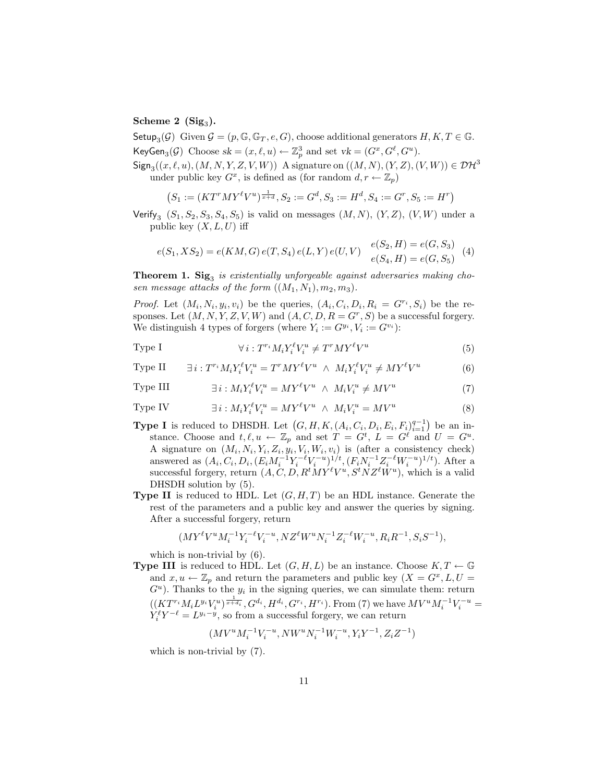## $\rm{Scheme\ 2\ \ (Sig}_3).$

Setup<sub>3</sub>( $\mathcal{G}$ ) Given  $\mathcal{G} = (p, \mathbb{G}, \mathbb{G}_T, e, G)$ , choose additional generators  $H, K, T \in \mathbb{G}$ . KeyGen<sub>3</sub>( $\mathcal{G}$ ) Choose  $sk = (x, \ell, u) \leftarrow \mathbb{Z}_p^3$  and set  $vk = (G^x, G^{\ell}, G^u)$ .

 $\mathsf{Sign}_3((x, \ell, u), (M, N, Y, Z, V, W))$  A signature on  $((M, N), (Y, Z), (V, W)) \in \mathcal{DH}^3$ under public key  $G^x$ , is defined as (for random  $d, r \leftarrow \mathbb{Z}_p$ )

$$
(S_1 := (KT^rMY^{\ell}V^u)^{\frac{1}{x+d}}, S_2 := G^d, S_3 := H^d, S_4 := G^r, S_5 := H^r)
$$

Verify<sub>3</sub>  $(S_1, S_2, S_3, S_4, S_5)$  is valid on messages  $(M, N), (Y, Z), (V, W)$  under a public key  $(X, L, U)$  iff

$$
e(S_1, XS_2) = e(KM, G) e(T, S_4) e(L, Y) e(U, V) \begin{cases} e(S_2, H) = e(G, S_3) \\ e(S_4, H) = e(G, S_5) \end{cases}
$$
(4)

**Theorem 1. Sig**<sub>3</sub> is existentially unforgeable against adversaries making chosen message attacks of the form  $((M_1, N_1), m_2, m_3)$ .

*Proof.* Let  $(M_i, N_i, y_i, v_i)$  be the queries,  $(A_i, C_i, D_i, R_i = G^{r_i}, S_i)$  be the responses. Let  $(M, N, Y, Z, V, W)$  and  $(A, C, D, R = G<sup>r</sup>, S)$  be a successful forgery. We distinguish 4 types of forgers (where  $Y_i := G^{y_i}, V_i := G^{v_i}$ ):

Type I 
$$
\forall i : T^{r_i} M_i Y_i^{\ell} V_i^u \neq T^r M Y^{\ell} V^u \tag{5}
$$

Type II  $\exists i : T^{r_i} M_i Y_i^{\ell} V_i^u = T^r M Y^{\ell} V^u \ \wedge \ M_i Y_i^{\ell} V_i^u \neq M Y^{\ell} V^u$ (6)

Type III 
$$
\exists i: M_i Y_i^{\ell} V_i^u = M Y^{\ell} V^u \ \wedge \ M_i V_i^u \neq M V^u \tag{7}
$$

Type IV 
$$
\exists i: M_i Y_i^{\ell} V_i^u = M Y^{\ell} V^u \ \wedge \ M_i V_i^u = M V^u \tag{8}
$$

- **Type I** is reduced to DHSDH. Let  $(G, H, K, (A_i, C_i, D_i, E_i, F_i)_{i=1}^{q-1})$  be an instance. Choose and  $t, \ell, u \leftarrow \mathbb{Z}_p$  and set  $T = G^t, L = G^{\ell}$  and  $U = G^u$ . A signature on  $(M_i, N_i, Y_i, Z_i, y_i, V_i, W_i, v_i)$  is (after a consistency check) answered as  $(A_i, C_i, D_i, (E_i M_i^{-1} Y_i^{-\ell} V_i^{-u})^{1/t}, (F_i N_i^{-1} Z_i^{-\ell} W_i^{-u})^{1/t})$ . After a successful forgery, return  $(A, C, D, R^t M Y^{\ell} V^u, S^t N Z^{\ell} W^u)$ , which is a valid DHSDH solution by (5).
- **Type II** is reduced to HDL. Let  $(G, H, T)$  be an HDL instance. Generate the rest of the parameters and a public key and answer the queries by signing. After a successful forgery, return

$$
(MY^{\ell}V^{u}M_{i}^{-1}Y_{i}^{-\ell}V_{i}^{-u}, NZ^{\ell}W^{u}N_{i}^{-1}Z_{i}^{-\ell}W_{i}^{-u}, R_{i}R^{-1}, S_{i}S^{-1}),
$$

which is non-trivial by (6).

**Type III** is reduced to HDL. Let  $(G, H, L)$  be an instance. Choose  $K, T \leftarrow \mathbb{G}$ and  $x, u \leftarrow \mathbb{Z}_p$  and return the parameters and public key  $(X = G^x, L, U =$  $G^u$ ). Thanks to the  $y_i$  in the signing queries, we can simulate them: return  $((KT^{r_i}M_iL^{y_i}V_i^u)^{\frac{1}{x+d_i}}, G^{d_i}, H^{d_i}, G^{r_i}, H^{r_i})$ . From (7) we have  $MV^uM_i^{-1}V_i^{-u}$  =  $Y_i^{\ell} Y^{-\ell} = L^{y_i - y}$ , so from a successful forgery, we can return

$$
\left( MV^u M_i^{-1} V_i^{-u}, NW^u N_i^{-1} W_i^{-u}, Y_i Y^{-1}, Z_i Z^{-1}\right)
$$

which is non-trivial by (7).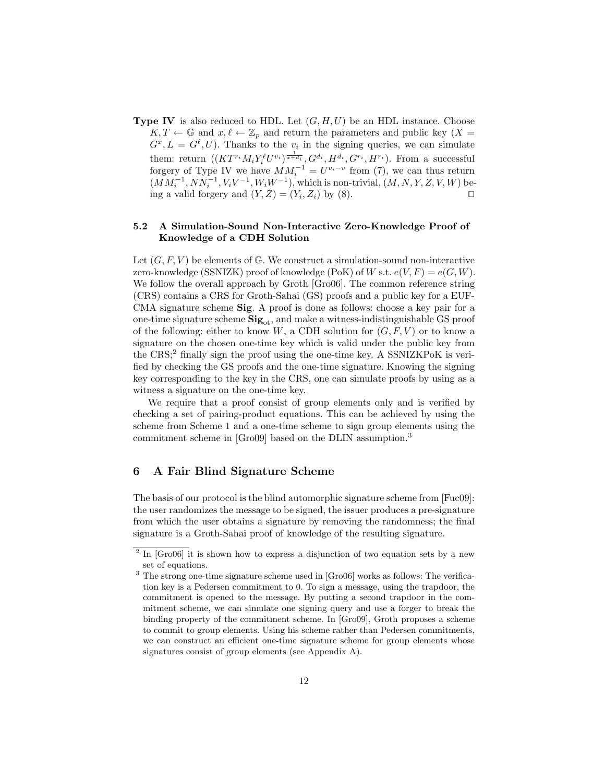**Type IV** is also reduced to HDL. Let  $(G, H, U)$  be an HDL instance. Choose  $K, T \leftarrow \mathbb{G}$  and  $x, \ell \leftarrow \mathbb{Z}_p$  and return the parameters and public key  $(X =$  $G^x, L = G^{\ell}, U$ . Thanks to the  $v_i$  in the signing queries, we can simulate them: return  $((KT^{r_i}M_iY_i^{\ell}U^{v_i})^{\frac{1}{x+d_i}}, G^{d_i}, H^{d_i}, G^{r_i}, H^{r_i})$ . From a successful forgery of Type IV we have  $MM_i^{-1} = U^{v_i-v}$  from (7), we can thus return  $(MM_i^{-1}, NN_i^{-1}, V_iV^{-1}, W_iW^{-1}),$  which is non-trivial,  $(M, N, Y, Z, V, W)$  being a valid forgery and  $(Y, Z) = (Y_i, Z_i)$  by  $(8)$ .

#### 5.2 A Simulation-Sound Non-Interactive Zero-Knowledge Proof of Knowledge of a CDH Solution

Let  $(G, F, V)$  be elements of G. We construct a simulation-sound non-interactive zero-knowledge (SSNIZK) proof of knowledge (PoK) of W s.t.  $e(V, F) = e(G, W)$ . We follow the overall approach by Groth [Gro06]. The common reference string (CRS) contains a CRS for Groth-Sahai (GS) proofs and a public key for a EUF-CMA signature scheme Sig. A proof is done as follows: choose a key pair for a one-time signature scheme  $\text{Sig}_{\text{ot}}$ , and make a witness-indistinguishable GS proof of the following: either to know  $W$ , a CDH solution for  $(G, F, V)$  or to know a signature on the chosen one-time key which is valid under the public key from the  $CRS$ ;<sup>2</sup> finally sign the proof using the one-time key. A SSNIZKPoK is verified by checking the GS proofs and the one-time signature. Knowing the signing key corresponding to the key in the CRS, one can simulate proofs by using as a witness a signature on the one-time key.

We require that a proof consist of group elements only and is verified by checking a set of pairing-product equations. This can be achieved by using the scheme from Scheme 1 and a one-time scheme to sign group elements using the commitment scheme in [Gro09] based on the DLIN assumption.<sup>3</sup>

## 6 A Fair Blind Signature Scheme

The basis of our protocol is the blind automorphic signature scheme from [Fuc09]: the user randomizes the message to be signed, the issuer produces a pre-signature from which the user obtains a signature by removing the randomness; the final signature is a Groth-Sahai proof of knowledge of the resulting signature.

<sup>&</sup>lt;sup>2</sup> In [Gro06] it is shown how to express a disjunction of two equation sets by a new set of equations.

<sup>&</sup>lt;sup>3</sup> The strong one-time signature scheme used in [Gro06] works as follows: The verification key is a Pedersen commitment to 0. To sign a message, using the trapdoor, the commitment is opened to the message. By putting a second trapdoor in the commitment scheme, we can simulate one signing query and use a forger to break the binding property of the commitment scheme. In [Gro09], Groth proposes a scheme to commit to group elements. Using his scheme rather than Pedersen commitments, we can construct an efficient one-time signature scheme for group elements whose signatures consist of group elements (see Appendix A).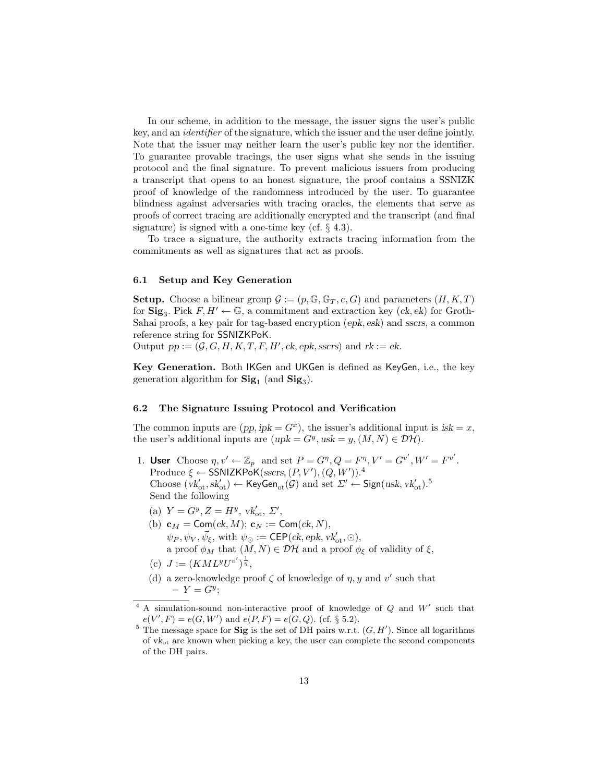In our scheme, in addition to the message, the issuer signs the user's public key, and an identifier of the signature, which the issuer and the user define jointly. Note that the issuer may neither learn the user's public key nor the identifier. To guarantee provable tracings, the user signs what she sends in the issuing protocol and the final signature. To prevent malicious issuers from producing a transcript that opens to an honest signature, the proof contains a SSNIZK proof of knowledge of the randomness introduced by the user. To guarantee blindness against adversaries with tracing oracles, the elements that serve as proofs of correct tracing are additionally encrypted and the transcript (and final signature) is signed with a one-time key (cf. § 4.3).

To trace a signature, the authority extracts tracing information from the commitments as well as signatures that act as proofs.

#### 6.1 Setup and Key Generation

**Setup.** Choose a bilinear group  $\mathcal{G} := (p, \mathbb{G}, \mathbb{G}_T, e, G)$  and parameters  $(H, K, T)$ for  $\text{Sig}_3$ . Pick  $F, H' \leftarrow \mathbb{G}$ , a commitment and extraction key (ck, ek) for Groth-Sahai proofs, a key pair for tag-based encryption (epk, esk) and sscrs, a common reference string for SSNIZKPoK.

Output  $pp := (\mathcal{G}, G, H, K, T, F, H', ck, epk, sscrs)$  and  $rk := ek$ .

Key Generation. Both IKGen and UKGen is defined as KeyGen, i.e., the key generation algorithm for  $\text{Sig}_1$  (and  $\text{Sig}_3$ ).

#### 6.2 The Signature Issuing Protocol and Verification

The common inputs are  $(pp, ipk = G<sup>x</sup>)$ , the issuer's additional input is  $isk = x$ , the user's additional inputs are  $(upk = G<sup>y</sup>, usk = y, (M, N) \in \mathcal{DH})$ .

- 1. User Choose  $\eta, v' \leftarrow \mathbb{Z}_p$  and set  $P = G^{\eta}, Q = F^{\eta}, V' = G^{v'}, W' = F^{v'}$ . Produce  $\xi \leftarrow \text{SSNIZKPoK}(sscrs, (P, V'), (Q, W'))$ .<sup>4</sup> Choose  $(vk'_{\text{ot}}, sk'_{\text{ot}}) \leftarrow \text{KeyGen}_{\text{ot}}(\mathcal{G})$  and set  $\Sigma' \leftarrow \text{Sign}(usk, vk'_{\text{ot}}).$ <sup>5</sup> Send the following
	- (a)  $Y = G^y, Z = H^y, \, vk'_{ot}, \, \Sigma',$
	- (b)  $\mathbf{c}_M = \mathsf{Com}(ck, M); \, \mathbf{c}_N := \mathsf{Com}(ck, N),$  $\psi_P, \psi_V, \vec{\psi}_{\xi}, \text{ with } \psi_{\odot} := \mathsf{CEP}(ck, epk, vk'_{\text{ot}}, \odot),$ a proof  $\phi_M$  that  $(M, N) \in \mathcal{DH}$  and a proof  $\phi_{\xi}$  of validity of  $\xi$ , (c)  $J := (KML^yU^{v'})^{\frac{1}{\eta}},$
	- (d) a zero-knowledge proof  $\zeta$  of knowledge of  $\eta$ , y and v' such that  $-Y = G^y;$

 $4$  A simulation-sound non-interactive proof of knowledge of  $Q$  and  $W'$  such that  $e(V', F) = e(G, W')$  and  $e(P, F) = e(G, Q)$ . (cf. § 5.2).

<sup>&</sup>lt;sup>5</sup> The message space for **Sig** is the set of DH pairs w.r.t.  $(G, H')$ . Since all logarithms of  $vk_{ot}$  are known when picking a key, the user can complete the second components of the DH pairs.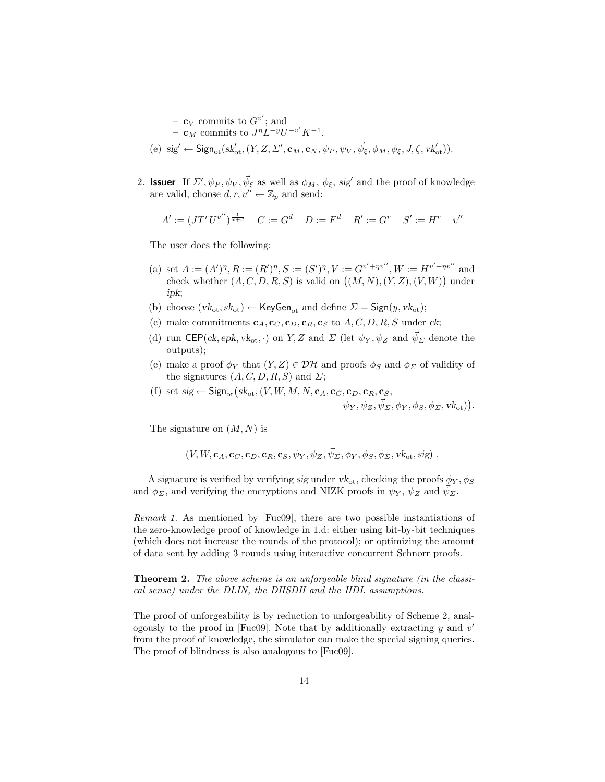- $\mathbf{c}_V$  commits to  $G^{v'}$ ; and -  $\mathbf{c}_M$  commits to  $J^{\eta}L^{-y}U^{-v'}K^{-1}$ . (e)  $sig' \leftarrow$  Sign<sub>ot</sub> $(k'_{ot}, (Y, Z, Z', \mathbf{c}_M, \mathbf{c}_N, \psi_P, \psi_V, \vec{\psi}_{\xi}, \phi_M, \phi_{\xi}, J, \zeta, \nu k'_{ot})$ .
- 2. **Issuer** If  $\Sigma'$ ,  $\psi_P$ ,  $\psi_V$ ,  $\vec{\psi}_{\xi}$  as well as  $\phi_M$ ,  $\phi_{\xi}$ , sig' and the proof of knowledge are valid, choose  $d, r, v'' \leftarrow \mathbb{Z}_p$  and send:

$$
A' := (J T^r U^{v''})^{\frac{1}{x+d}} \quad C := G^d \quad D := F^d \quad R' := G^r \quad S' := H^r \quad v''
$$

The user does the following:

- (a) set  $A := (A')^{\eta}, R := (R')^{\eta}, S := (S')^{\eta}, V := G^{v'+\eta v''}, W := H^{v'+\eta v''}$  and check whether  $(A, C, D, R, S)$  is valid on  $((M, N), (Y, Z), (V, W))$  under ipk;
- (b) choose  $(vk_{ot}, sk_{ot}) \leftarrow \text{KeyGen}_{ot}$  and define  $\Sigma = \text{Sign}(y, vk_{ot})$ ;
- (c) make commitments  $c_A, c_C, c_D, c_R, c_S$  to  $A, C, D, R, S$  under ck;
- (d) run CEP(ck, epk, vk<sub>ot</sub>, ·) on Y, Z and  $\Sigma$  (let  $\psi_Y, \psi_Z$  and  $\vec{\psi}_\Sigma$  denote the outputs);
- (e) make a proof  $\phi_Y$  that  $(Y, Z) \in \mathcal{DH}$  and proofs  $\phi_S$  and  $\phi_{\Sigma}$  of validity of the signatures  $(A, C, D, R, S)$  and  $\Sigma$ ;
- (f) set  $sig \leftarrow$  Sign<sub>ot</sub> ( $sk_{ot}$ , (V, W, M, N,  $c_A$ ,  $c_C$ ,  $c_D$ ,  $c_R$ ,  $c_S$ ,

 $\psi_Y, \psi_Z, \vec{\psi}_\Sigma, \phi_Y, \phi_S, \phi_\Sigma, \text{vk}_\text{ot})\big).$ 

The signature on  $(M, N)$  is

 $(V, W, \mathbf{c}_A, \mathbf{c}_C, \mathbf{c}_D, \mathbf{c}_R, \mathbf{c}_S, \psi_Y, \psi_Z, \vec{\psi}_\Sigma, \phi_Y, \phi_S, \phi_\Sigma, \mathbf{v} \mathbf{k}_{\text{ot}}, \text{sig})$ .

A signature is verified by verifying sig under  $vk_{ot}$ , checking the proofs  $\phi_Y$ ,  $\phi_S$ and  $\phi_{\Sigma}$ , and verifying the encryptions and NIZK proofs in  $\psi_{Y}$ ,  $\psi_{Z}$  and  $\psi_{\Sigma}$ .

Remark 1. As mentioned by [Fuc09], there are two possible instantiations of the zero-knowledge proof of knowledge in 1.d: either using bit-by-bit techniques (which does not increase the rounds of the protocol); or optimizing the amount of data sent by adding 3 rounds using interactive concurrent Schnorr proofs.

Theorem 2. The above scheme is an unforgeable blind signature (in the classical sense) under the DLIN, the DHSDH and the HDL assumptions.

The proof of unforgeability is by reduction to unforgeability of Scheme 2, analogously to the proof in [Fuc09]. Note that by additionally extracting  $y$  and  $v'$ from the proof of knowledge, the simulator can make the special signing queries. The proof of blindness is also analogous to [Fuc09].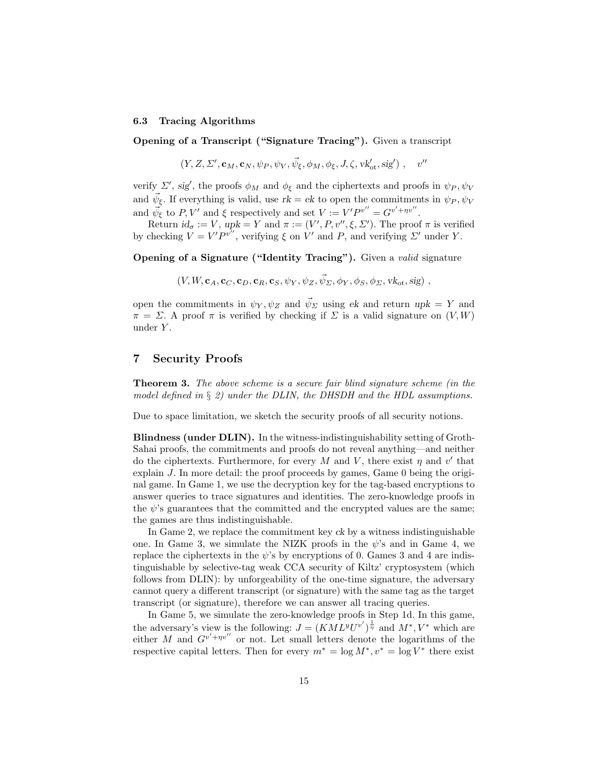#### 6.3 Tracing Algorithms

Opening of a Transcript ("Signature Tracing"). Given a transcript

$$
(Y, Z, \Sigma', \mathbf{c}_M, \mathbf{c}_N, \psi_P, \psi_V, \vec{\psi}_{\xi}, \phi_M, \phi_{\xi}, J, \zeta, \mathbf{v} \mathbf{k}'_{\mathrm{ot}}, \mathbf{s} \mathbf{i} \mathbf{g}') , \quad v''
$$

verify  $\Sigma'$ , sig', the proofs  $\phi_M$  and  $\phi_{\xi}$  and the ciphertexts and proofs in  $\psi_P, \psi_V$ and  $\vec{\psi}_{\xi}$ . If everything is valid, use  $rk = ek$  to open the commitments in  $\psi_P, \psi_V$ and  $\vec{\psi}_{\xi}$  to P, V' and  $\xi$  respectively and set  $V := V'P^{v''} = G^{v'+\eta v''}$ .

Return  $id_{\sigma} := V$ ,  $upk = Y$  and  $\pi := (V', P, v'', \xi, \Sigma')$ . The proof  $\pi$  is verified by checking  $V = V'P^{v''}$ , verifying  $\xi$  on  $V'$  and  $P$ , and verifying  $\Sigma'$  under Y.

Opening of a Signature ("Identity Tracing"). Given a valid signature

$$
(V, W, \mathbf{c}_A, \mathbf{c}_C, \mathbf{c}_D, \mathbf{c}_R, \mathbf{c}_S, \psi_Y, \psi_Z, \vec{\psi}_\Sigma, \phi_Y, \phi_S, \phi_\Sigma, \mathbf{v} \mathbf{k}_{\text{ot}}, \mathbf{s} \mathbf{i} \mathbf{g}) ,
$$

open the commitments in  $\psi_Y, \psi_Z$  and  $\vec{\psi}_\Sigma$  using ek and return upk = Y and  $\pi = \Sigma$ . A proof  $\pi$  is verified by checking if  $\Sigma$  is a valid signature on  $(V, W)$ under  $Y$ .

## 7 Security Proofs

Theorem 3. The above scheme is a secure fair blind signature scheme (in the model defined in  $\S 2$ ) under the DLIN, the DHSDH and the HDL assumptions.

Due to space limitation, we sketch the security proofs of all security notions.

Blindness (under DLIN). In the witness-indistinguishability setting of Groth-Sahai proofs, the commitments and proofs do not reveal anything—and neither do the ciphertexts. Furthermore, for every M and V, there exist  $\eta$  and  $v'$  that explain J. In more detail: the proof proceeds by games, Game 0 being the original game. In Game 1, we use the decryption key for the tag-based encryptions to answer queries to trace signatures and identities. The zero-knowledge proofs in the  $\psi$ 's guarantees that the committed and the encrypted values are the same; the games are thus indistinguishable.

In Game 2, we replace the commitment key ck by a witness indistinguishable one. In Game 3, we simulate the NIZK proofs in the  $\psi$ 's and in Game 4, we replace the ciphertexts in the  $\psi$ 's by encryptions of 0. Games 3 and 4 are indistinguishable by selective-tag weak CCA security of Kiltz' cryptosystem (which follows from DLIN): by unforgeability of the one-time signature, the adversary cannot query a different transcript (or signature) with the same tag as the target transcript (or signature), therefore we can answer all tracing queries.

In Game 5, we simulate the zero-knowledge proofs in Step 1d. In this game, the adversary's view is the following:  $J = (KML^yU^{v'})^{\frac{1}{\eta}}$  and  $M^*, V^*$  which are either M and  $G^{v'+\eta v''}$  or not. Let small letters denote the logarithms of the respective capital letters. Then for every  $m^* = \log M^*$ ,  $v^* = \log V^*$  there exist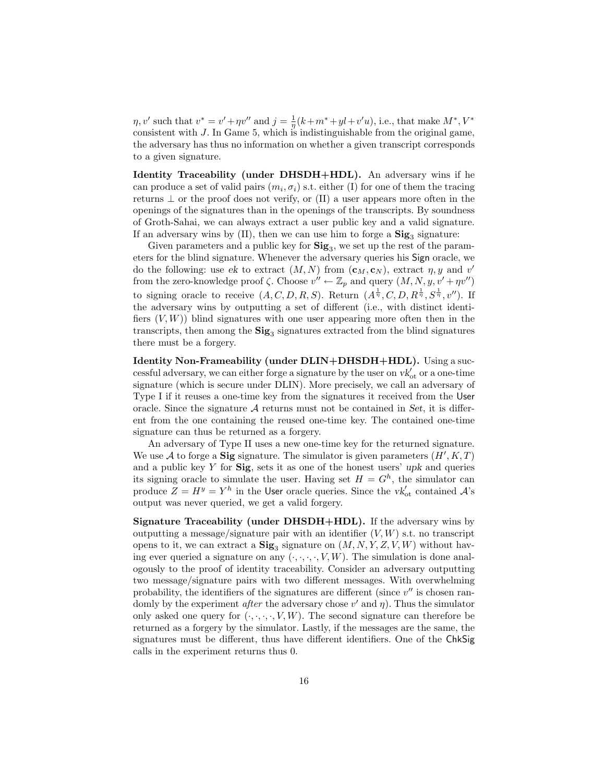$\eta, v'$  such that  $v^* = v' + \eta v''$  and  $j = \frac{1}{\eta}(k + m^* + yl + v'u)$ , i.e., that make  $M^*, V^*$ consistent with J. In Game 5, which is indistinguishable from the original game, the adversary has thus no information on whether a given transcript corresponds to a given signature.

Identity Traceability (under DHSDH+HDL). An adversary wins if he can produce a set of valid pairs  $(m_i, \sigma_i)$  s.t. either (I) for one of them the tracing returns  $\perp$  or the proof does not verify, or (II) a user appears more often in the openings of the signatures than in the openings of the transcripts. By soundness of Groth-Sahai, we can always extract a user public key and a valid signature. If an adversary wins by  $(II)$ , then we can use him to forge a  $\textbf{Sig}_3$  signature:

Given parameters and a public key for  $\text{Sig}_3$ , we set up the rest of the parameters for the blind signature. Whenever the adversary queries his Sign oracle, we do the following: use ek to extract  $(M, N)$  from  $(c_M, c_N)$ , extract  $\eta, y$  and  $v'$ from the zero-knowledge proof  $\zeta$ . Choose  $v'' \leftarrow \mathbb{Z}_p$  and query  $(M, N, y, v' + \eta v'')$ to signing oracle to receive  $(A, C, D, R, S)$ . Return  $(A^{\frac{1}{\eta}}, C, D, R^{\frac{1}{\eta}}, S^{\frac{1}{\eta}}, v'')$ . If the adversary wins by outputting a set of different (i.e., with distinct identifiers  $(V, W)$ ) blind signatures with one user appearing more often then in the transcripts, then among the  $\text{Sig}_3$  signatures extracted from the blind signatures there must be a forgery.

Identity Non-Frameability (under DLIN+DHSDH+HDL). Using a successful adversary, we can either forge a signature by the user on  $vk'_{ot}$  or a one-time signature (which is secure under DLIN). More precisely, we call an adversary of Type I if it reuses a one-time key from the signatures it received from the User oracle. Since the signature  $A$  returns must not be contained in Set, it is different from the one containing the reused one-time key. The contained one-time signature can thus be returned as a forgery.

An adversary of Type II uses a new one-time key for the returned signature. We use A to forge a Sig signature. The simulator is given parameters  $(H', K, T)$ and a public key  $Y$  for  $\textbf{Sig}$ , sets it as one of the honest users' upk and queries its signing oracle to simulate the user. Having set  $H = G<sup>h</sup>$ , the simulator can produce  $Z = H^y = Y^h$  in the User oracle queries. Since the  $vk'_{\text{ot}}$  contained  $\mathcal{A}$ 's output was never queried, we get a valid forgery.

Signature Traceability (under DHSDH+HDL). If the adversary wins by outputting a message/signature pair with an identifier  $(V, W)$  s.t. no transcript opens to it, we can extract a  $\textbf{Sig}_3$  signature on  $(M, N, Y, Z, V, W)$  without having ever queried a signature on any  $(\cdot, \cdot, \cdot, \cdot, V, W)$ . The simulation is done analogously to the proof of identity traceability. Consider an adversary outputting two message/signature pairs with two different messages. With overwhelming probability, the identifiers of the signatures are different (since  $v''$  is chosen randomly by the experiment *after* the adversary chose  $v'$  and  $\eta$ ). Thus the simulator only asked one query for  $(\cdot, \cdot, \cdot, \cdot, V, W)$ . The second signature can therefore be returned as a forgery by the simulator. Lastly, if the messages are the same, the signatures must be different, thus have different identifiers. One of the ChkSig calls in the experiment returns thus 0.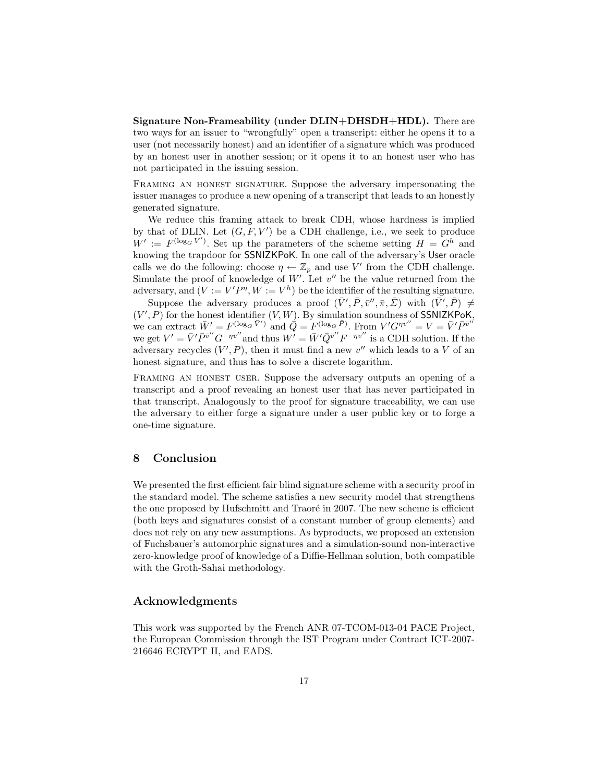Signature Non-Frameability (under DLIN+DHSDH+HDL). There are two ways for an issuer to "wrongfully" open a transcript: either he opens it to a user (not necessarily honest) and an identifier of a signature which was produced by an honest user in another session; or it opens it to an honest user who has not participated in the issuing session.

FRAMING AN HONEST SIGNATURE. Suppose the adversary impersonating the issuer manages to produce a new opening of a transcript that leads to an honestly generated signature.

We reduce this framing attack to break CDH, whose hardness is implied by that of DLIN. Let  $(G, F, V')$  be a CDH challenge, i.e., we seek to produce  $W' := F^{(\log_G V')}$ . Set up the parameters of the scheme setting  $H = G^h$  and knowing the trapdoor for SSNIZKPoK. In one call of the adversary's User oracle calls we do the following: choose  $\eta \leftarrow \mathbb{Z}_p$  and use V' from the CDH challenge. Simulate the proof of knowledge of  $W'$ . Let  $v''$  be the value returned from the adversary, and  $(V := V'P^{\eta}, W := V^h)$  be the identifier of the resulting signature.

Suppose the adversary produces a proof  $(\bar{V}', \bar{P}, \bar{v}'', \bar{\pi}, \bar{\Sigma})$  with  $(\bar{V}', \bar{P}) \neq$  $(V', P)$  for the honest identifier  $(V, W)$ . By simulation soundness of SSNIZKPoK, we can extract  $\bar{W}' = F^{(\log_G \bar{V}')}$  and  $\bar{Q} = F^{(\log_G \bar{P})}$ . From  $V'G^{\eta v''} = V = \bar{V}'\bar{P}^{\bar{v}'}$ we get  $V' = \bar{V}' \bar{P}^{\bar{v}''} G^{-\eta v''}$  and thus  $W' = \bar{W}' \bar{Q}^{\bar{v}''} F^{-\eta v''}$  is a CDH solution. If the adversary recycles  $(V', P)$ , then it must find a new  $v''$  which leads to a V of an honest signature, and thus has to solve a discrete logarithm.

Framing an honest user. Suppose the adversary outputs an opening of a transcript and a proof revealing an honest user that has never participated in that transcript. Analogously to the proof for signature traceability, we can use the adversary to either forge a signature under a user public key or to forge a one-time signature.

## 8 Conclusion

We presented the first efficient fair blind signature scheme with a security proof in the standard model. The scheme satisfies a new security model that strengthens the one proposed by Hufschmitt and Traoré in 2007. The new scheme is efficient (both keys and signatures consist of a constant number of group elements) and does not rely on any new assumptions. As byproducts, we proposed an extension of Fuchsbauer's automorphic signatures and a simulation-sound non-interactive zero-knowledge proof of knowledge of a Diffie-Hellman solution, both compatible with the Groth-Sahai methodology.

### Acknowledgments

This work was supported by the French ANR 07-TCOM-013-04 PACE Project, the European Commission through the IST Program under Contract ICT-2007- 216646 ECRYPT II, and EADS.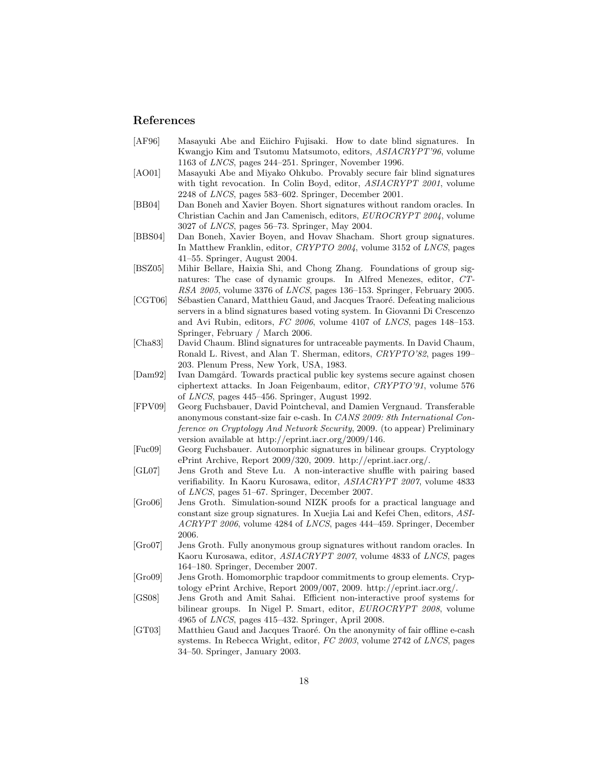#### References

- [AF96] Masayuki Abe and Eiichiro Fujisaki. How to date blind signatures. In Kwangjo Kim and Tsutomu Matsumoto, editors, ASIACRYPT'96, volume 1163 of LNCS, pages 244–251. Springer, November 1996.
- [AO01] Masayuki Abe and Miyako Ohkubo. Provably secure fair blind signatures with tight revocation. In Colin Boyd, editor,  $ASIACRYPT 2001$ , volume 2248 of LNCS, pages 583–602. Springer, December 2001.
- [BB04] Dan Boneh and Xavier Boyen. Short signatures without random oracles. In Christian Cachin and Jan Camenisch, editors, EUROCRYPT 2004, volume 3027 of LNCS, pages 56–73. Springer, May 2004.
- [BBS04] Dan Boneh, Xavier Boyen, and Hovav Shacham. Short group signatures. In Matthew Franklin, editor, CRYPTO 2004, volume 3152 of LNCS, pages 41–55. Springer, August 2004.
- [BSZ05] Mihir Bellare, Haixia Shi, and Chong Zhang. Foundations of group signatures: The case of dynamic groups. In Alfred Menezes, editor, CT-RSA 2005, volume 3376 of LNCS, pages 136–153. Springer, February 2005.
- [CGT06] Sébastien Canard, Matthieu Gaud, and Jacques Traoré. Defeating malicious servers in a blind signatures based voting system. In Giovanni Di Crescenzo and Avi Rubin, editors, FC 2006, volume 4107 of LNCS, pages 148–153. Springer, February / March 2006.
- [Cha83] David Chaum. Blind signatures for untraceable payments. In David Chaum, Ronald L. Rivest, and Alan T. Sherman, editors, CRYPTO'82, pages 199– 203. Plenum Press, New York, USA, 1983.
- [Dam92] Ivan Damgård. Towards practical public key systems secure against chosen ciphertext attacks. In Joan Feigenbaum, editor, CRYPTO'91, volume 576 of LNCS, pages 445–456. Springer, August 1992.
- [FPV09] Georg Fuchsbauer, David Pointcheval, and Damien Vergnaud. Transferable anonymous constant-size fair e-cash. In CANS 2009: 8th International Conference on Cryptology And Network Security, 2009. (to appear) Preliminary version available at http://eprint.iacr.org/2009/146.
- [Fuc09] Georg Fuchsbauer. Automorphic signatures in bilinear groups. Cryptology ePrint Archive, Report 2009/320, 2009. http://eprint.iacr.org/.
- [GL07] Jens Groth and Steve Lu. A non-interactive shuffle with pairing based verifiability. In Kaoru Kurosawa, editor, ASIACRYPT 2007, volume 4833 of LNCS, pages 51–67. Springer, December 2007.
- [Gro06] Jens Groth. Simulation-sound NIZK proofs for a practical language and constant size group signatures. In Xuejia Lai and Kefei Chen, editors, ASI-ACRYPT 2006, volume 4284 of LNCS, pages 444–459. Springer, December 2006.
- [Gro07] Jens Groth. Fully anonymous group signatures without random oracles. In Kaoru Kurosawa, editor, ASIACRYPT 2007, volume 4833 of LNCS, pages 164–180. Springer, December 2007.
- [Gro09] Jens Groth. Homomorphic trapdoor commitments to group elements. Cryptology ePrint Archive, Report 2009/007, 2009. http://eprint.iacr.org/.
- [GS08] Jens Groth and Amit Sahai. Efficient non-interactive proof systems for bilinear groups. In Nigel P. Smart, editor, EUROCRYPT 2008, volume 4965 of LNCS, pages 415–432. Springer, April 2008.
- [GT03] Matthieu Gaud and Jacques Traoré. On the anonymity of fair offline e-cash systems. In Rebecca Wright, editor, FC 2003, volume 2742 of LNCS, pages 34–50. Springer, January 2003.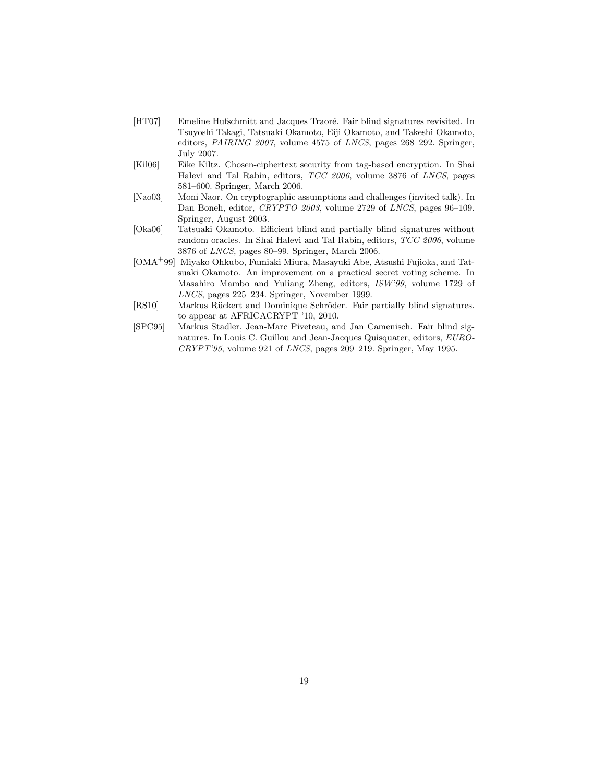- [HT07] Emeline Hufschmitt and Jacques Traoré. Fair blind signatures revisited. In Tsuyoshi Takagi, Tatsuaki Okamoto, Eiji Okamoto, and Takeshi Okamoto, editors, *PAIRING 2007*, volume 4575 of *LNCS*, pages 268–292. Springer, July 2007.
- [Kil06] Eike Kiltz. Chosen-ciphertext security from tag-based encryption. In Shai Halevi and Tal Rabin, editors, TCC 2006, volume 3876 of LNCS, pages 581–600. Springer, March 2006.
- [Nao03] Moni Naor. On cryptographic assumptions and challenges (invited talk). In Dan Boneh, editor, CRYPTO 2003, volume 2729 of LNCS, pages 96–109. Springer, August 2003.
- [Oka06] Tatsuaki Okamoto. Efficient blind and partially blind signatures without random oracles. In Shai Halevi and Tal Rabin, editors, TCC 2006, volume 3876 of LNCS, pages 80–99. Springer, March 2006.
- [OMA<sup>+</sup>99] Miyako Ohkubo, Fumiaki Miura, Masayuki Abe, Atsushi Fujioka, and Tatsuaki Okamoto. An improvement on a practical secret voting scheme. In Masahiro Mambo and Yuliang Zheng, editors, ISW'99, volume 1729 of LNCS, pages 225–234. Springer, November 1999.
- [RS10] Markus Rückert and Dominique Schröder. Fair partially blind signatures. to appear at AFRICACRYPT '10, 2010.
- [SPC95] Markus Stadler, Jean-Marc Piveteau, and Jan Camenisch. Fair blind signatures. In Louis C. Guillou and Jean-Jacques Quisquater, editors, EURO-CRYPT'95, volume 921 of LNCS, pages 209–219. Springer, May 1995.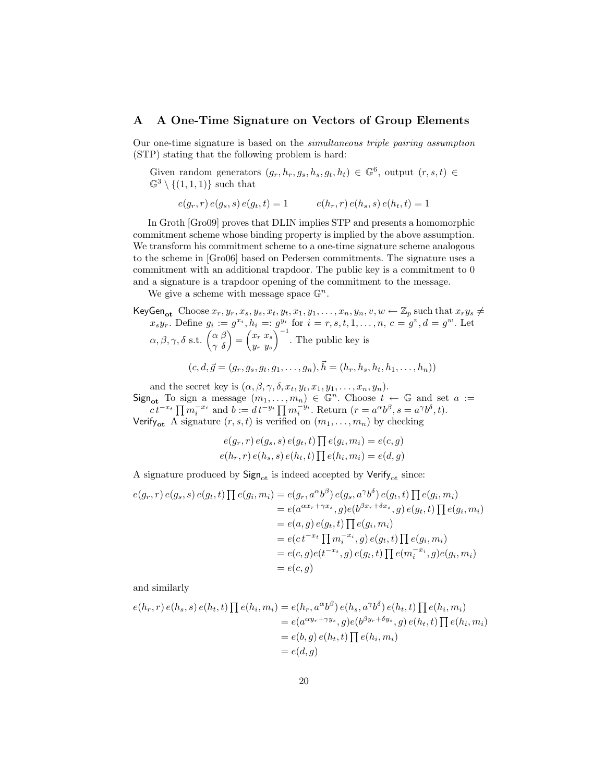## A A One-Time Signature on Vectors of Group Elements

Our one-time signature is based on the simultaneous triple pairing assumption (STP) stating that the following problem is hard:

Given random generators  $(g_r, h_r, g_s, h_s, g_t, h_t) \in \mathbb{G}^6$ , output  $(r, s, t) \in$  $\mathbb{G}^3 \setminus \{(1,1,1)\}\$  such that

 $e(q_r, r) e(q_s, s) e(q_t, t) = 1$   $e(h_r, r) e(h_s, s) e(h_t, t) = 1$ 

In Groth [Gro09] proves that DLIN implies STP and presents a homomorphic commitment scheme whose binding property is implied by the above assumption. We transform his commitment scheme to a one-time signature scheme analogous to the scheme in [Gro06] based on Pedersen commitments. The signature uses a commitment with an additional trapdoor. The public key is a commitment to 0 and a signature is a trapdoor opening of the commitment to the message.

We give a scheme with message space  $\mathbb{G}^n$ .

KeyGen<sub>ot</sub> Choose  $x_r, y_r, x_s, y_s, x_t, y_t, x_1, y_1, \ldots, x_n, y_n, v, w \leftarrow \mathbb{Z}_p$  such that  $x_r y_s \neq$  $x_s y_r$ . Define  $g_i := g^{x_i}, h_i =: g^{y_i}$  for  $i = r, s, t, 1, ..., n$ ,  $c = g^v, d = g^w$ . Let  $\alpha, \beta, \gamma, \delta \text{ s.t. } \begin{pmatrix} \alpha \ \beta \\ \gamma \ \delta \end{pmatrix} = \begin{pmatrix} x_r \ x_s \\ y_r \ y_s \end{pmatrix}$ y<sup>r</sup> y<sup>s</sup>  $\int^{-1}$ . The public key is  $(c, d, \vec{g} = (g_r, g_s, g_t, g_1, \dots, g_n), \vec{h} = (h_r, h_s, h_t, h_1, \dots, h_n))$ 

and the secret key is  $(\alpha, \beta, \gamma, \delta, x_t, y_t, x_1, y_1, \ldots, x_n, y_n).$ 

Sign<sub>ot</sub> To sign a message  $(m_1, \ldots, m_n) \in \mathbb{G}^n$ . Choose  $t \leftarrow \mathbb{G}$  and set  $a :=$  $ct^{-x_t} \prod m_i^{-x_i}$  and  $b := dt^{-y_t} \prod m_i^{-y_i}$ . Return  $(r = a^{\alpha}b^{\beta}, s = a^{\gamma}b^{\delta}, t)$ . Verify<sub>ot</sub> A signature  $(r, s, t)$  is verified on  $(m_1, \ldots, m_n)$  by checking

$$
e(g_r, r) e(g_s, s) e(g_t, t) \prod e(g_i, m_i) = e(c, g)
$$
  

$$
e(h_r, r) e(h_s, s) e(h_t, t) \prod e(h_i, m_i) = e(d, g)
$$

A signature produced by  $Sign_{ot}$  is indeed accepted by  $Verify_{ot}$  since:

$$
e(g_r, r) e(g_s, s) e(g_t, t) \prod e(g_i, m_i) = e(g_r, a^{\alpha}b^{\beta}) e(g_s, a^{\gamma}b^{\delta}) e(g_t, t) \prod e(g_i, m_i)
$$
  
\n
$$
= e(a^{\alpha x_r + \gamma x_s}, g) e(b^{\beta x_r + \delta x_s}, g) e(g_t, t) \prod e(g_i, m_i)
$$
  
\n
$$
= e(a, g) e(g_t, t) \prod e(g_i, m_i)
$$
  
\n
$$
= e(c^{\alpha x_t} \prod m_i^{-x_i}, g) e(g_t, t) \prod e(g_i, m_i)
$$
  
\n
$$
= e(c, g) e(t^{-x_t}, g) e(g_t, t) \prod e(m_i^{-x_i}, g) e(g_i, m_i)
$$
  
\n
$$
= e(c, g)
$$

and similarly

$$
e(h_r, r) e(h_s, s) e(h_t, t) \prod e(h_i, m_i) = e(h_r, a^{\alpha}b^{\beta}) e(h_s, a^{\gamma}b^{\delta}) e(h_t, t) \prod e(h_i, m_i)
$$
  
= 
$$
e(a^{\alpha y_r + \gamma y_s}, g) e(b^{\beta y_r + \delta y_s}, g) e(h_t, t) \prod e(h_i, m_i)
$$
  
= 
$$
e(b, g) e(h_t, t) \prod e(h_i, m_i)
$$
  
= 
$$
e(d, g)
$$